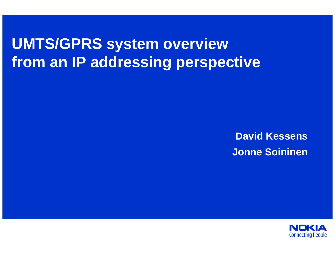# **UMTS/GPRS system overviewfrom an IP addressing perspective**

**David KessensJonne Soininen**

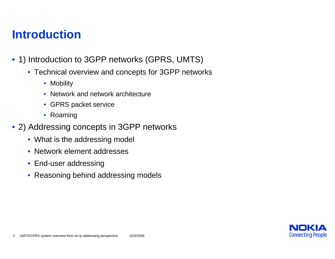## **Introduction**

- 1) Introduction to 3GPP networks (GPRS, UMTS)
	- Technical overview and concepts for 3GPP networks
		- Mobility
		- Network and network architecture
		- GPRS packet service
		- Roaming
- 2) Addressing concepts in 3GPP networks
	- What is the addressing model
	- Network element addresses
	- End-user addressing
	- Reasoning behind addressing models

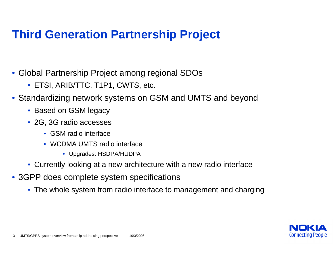## **Third Generation Partnership Project**

- Global Partnership Project among regional SDOs
	- ETSI, ARIB/TTC, T1P1, CWTS, etc.
- Standardizing network systems on GSM and UMTS and beyond
	- Based on GSM legacy
	- 2G, 3G radio accesses
		- GSM radio interface
		- WCDMA UMTS radio interface
			- Upgrades: HSDPA/HUDPA
	- Currently looking at a new architecture with a new radio interface
- 3GPP does complete system specifications
	- The whole system from radio interface to management and charging

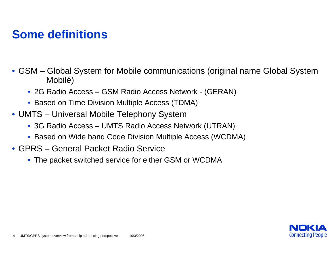## **Some definitions**

- GSM Global System for Mobile communications (original name Global System Mobilé)
	- 2G Radio Access GSM Radio Access Network (GERAN)
	- Based on Time Division Multiple Access (TDMA)
- UMTS Universal Mobile Telephony System
	- 3G Radio Access UMTS Radio Access Network (UTRAN)
	- Based on Wide band Code Division Multiple Access (WCDMA)
- GPRS General Packet Radio Service
	- The packet switched service for either GSM or WCDMA

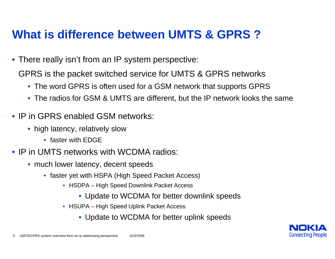## **What is difference between UMTS & GPRS ?**

- There really isn't from an IP system perspective:
	- GPRS is the packet switched service for UMTS & GPRS networks
		- The word GPRS is often used for a GSM network that supports GPRS
		- The radios for GSM & UMTS are different, but the IP network looks the same
- IP in GPRS enabled GSM networks:
	- high latency, relatively slow
		- faster with EDGE
- IP in UMTS networks with WCDMA radios:
	- much lower latency, decent speeds
		- faster yet with HSPA (High Speed Packet Access)
			- HSDPA High Speed Downlink Packet Access
				- Update to WCDMA for better downlink speeds
			- HSUPA High Speed Uplink Packet Access
				- Update to WCDMA for better uplink speeds

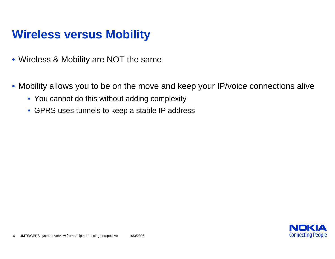## **Wireless versus Mobility**

- Wireless & Mobility are NOT the same
- Mobility allows you to be on the move and keep your IP/voice connections alive
	- You cannot do this without adding complexity
	- GPRS uses tunnels to keep a stable IP address

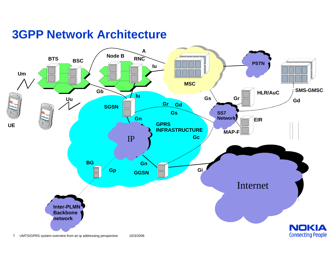#### **3GPP Network Architecture**

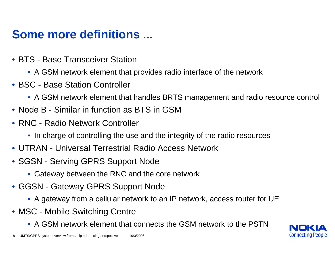## **Some more definitions ...**

- BTS Base Transceiver Station
	- A GSM network element that provides radio interface of the network
- BSC Base Station Controller
	- A GSM network element that handles BRTS management and radio resource control
- Node B Similar in function as BTS in GSM
- RNC Radio Network Controller
	- In charge of controlling the use and the integrity of the radio resources
- UTRAN Universal Terrestrial Radio Access Network
- SGSN Serving GPRS Support Node
	- Gateway between the RNC and the core network
- GGSN Gateway GPRS Support Node
	- A gateway from a cellular network to an IP network, access router for UE
- MSC Mobile Switching Centre
	- A GSM network element that connects the GSM network to the PSTN

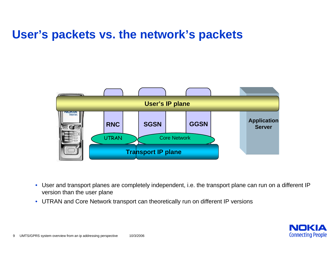### **User's packets vs. the network's packets**



- • User and transport planes are completely independent, i.e. the transport plane can run on a different IPversion than the user plane
- UTRAN and Core Network transport can theoretically run on different IP versions

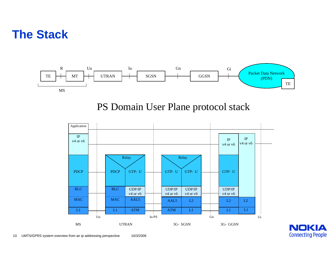#### **The Stack**



PS Domain User Plane protocol stack



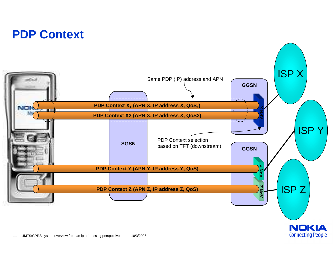## **PDP Context**

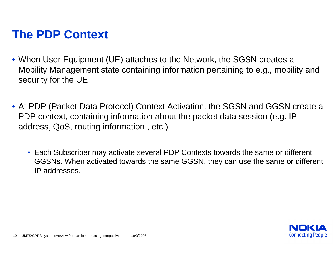## **The PDP Context**

- When User Equipment (UE) attaches to the Network, the SGSN creates a Mobility Management state containing information pertaining to e.g., mobility andsecurity for the UE
- At PDP (Packet Data Protocol) Context Activation, the SGSN and GGSN create aPDP context, containing information about the packet data session (e.g. IPaddress, QoS, routing information , etc.)
	- Each Subscriber may activate several PDP Contexts towards the same or different GGSNs. When activated towards the same GGSN, they can use the same or differentIP addresses.

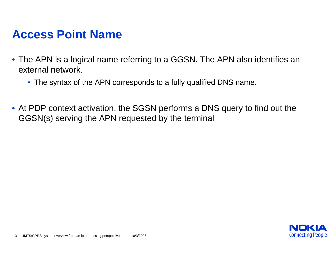#### **Access Point Name**

- The APN is a logical name referring to a GGSN. The APN also identifies anexternal network.
	- The syntax of the APN corresponds to a fully qualified DNS name.
- At PDP context activation, the SGSN performs a DNS query to find out theGGSN(s) serving the APN requested by the terminal

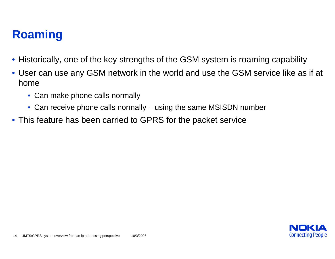## **Roaming**

- Historically, one of the key strengths of the GSM system is roaming capability
- User can use any GSM network in the world and use the GSM service like as if at home
	- Can make phone calls normally
	- Can receive phone calls normally using the same MSISDN number
- This feature has been carried to GPRS for the packet service

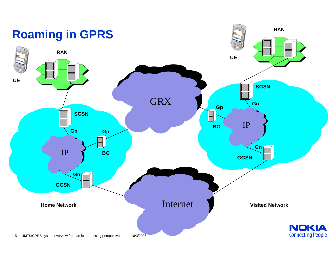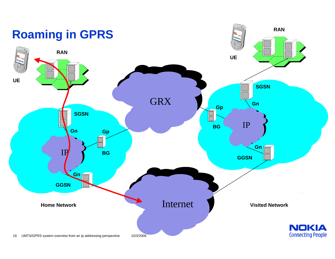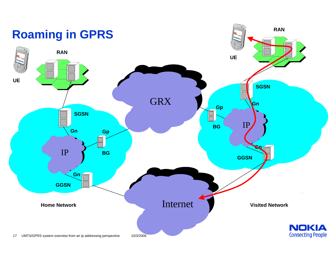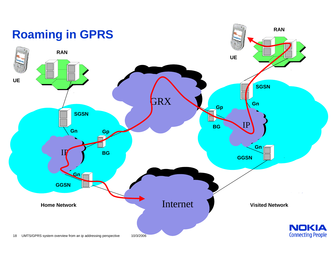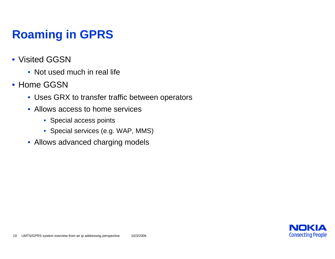## **Roaming in GPRS**

- Visited GGSN
	- Not used much in real life
- Home GGSN
	- Uses GRX to transfer traffic between operators
	- Allows access to home services
		- Special access points
		- Special services (e.g. WAP, MMS)
	- Allows advanced charging models

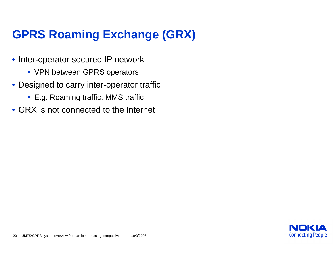## **GPRS Roaming Exchange (GRX)**

- Inter-operator secured IP network
	- VPN between GPRS operators
- Designed to carry inter-operator traffic
	- E.g. Roaming traffic, MMS traffic
- GRX is not connected to the Internet

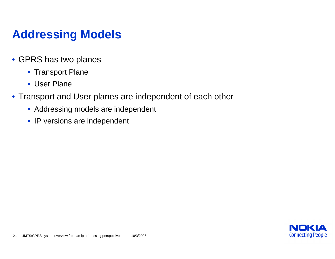## **Addressing Models**

- GPRS has two planes
	- Transport Plane
	- User Plane
- Transport and User planes are independent of each other
	- Addressing models are independent
	- IP versions are independent

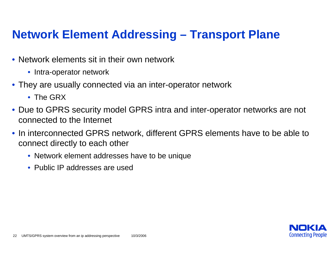## **Network Element Addressing – Transport Plane**

- Network elements sit in their own network
	- Intra-operator network
- They are usually connected via an inter-operator network
	- The GRX
- Due to GPRS security model GPRS intra and inter-operator networks are not connected to the Internet
- In interconnected GPRS network, different GPRS elements have to be able toconnect directly to each other
	- Network element addresses have to be unique
	- Public IP addresses are used

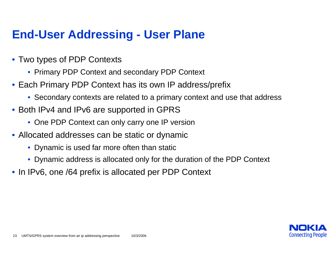## **End-User Addressing - User Plane**

- Two types of PDP Contexts
	- Primary PDP Context and secondary PDP Context
- Each Primary PDP Context has its own IP address/prefix
	- Secondary contexts are related to a primary context and use that address
- Both IPv4 and IPv6 are supported in GPRS
	- One PDP Context can only carry one IP version
- Allocated addresses can be static or dynamic
	- Dynamic is used far more often than static
	- Dynamic address is allocated only for the duration of the PDP Context
- In IPv6, one /64 prefix is allocated per PDP Context

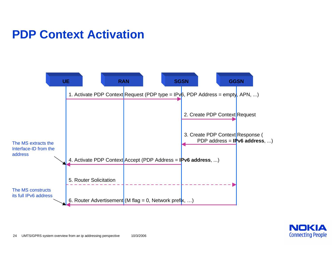## **PDP Context Activation**



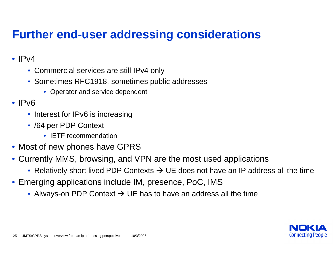## **Further end-user addressing considerations**

#### •  $Pv4$

- Commercial services are still IPv4 only
- Sometimes RFC1918, sometimes public addresses
	- Operator and service dependent

#### • IPv6

- Interest for IPv6 is increasing
- /64 per PDP Context
	- IETF recommendation
- Most of new phones have GPRS
- Currently MMS, browsing, and VPN are the most used applications
	- Relatively short lived PDP Contexts  $\rightarrow$  UE does not have an IP address all the time
- Emerging applications include IM, presence, PoC, IMS
	- Always-on PDP Context  $\rightarrow$  UE has to have an address all the time

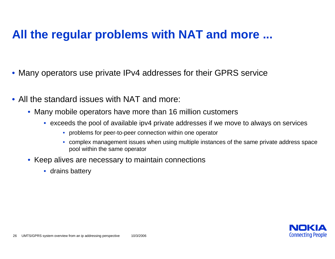## **All the regular problems with NAT and more ...**

- Many operators use private IPv4 addresses for their GPRS service
- All the standard issues with NAT and more:
	- Many mobile operators have more than 16 million customers
		- $\bullet~$  exceeds the pool of available ipv4 private addresses if we move to always on services
			- problems for peer-to-peer connection within one operator
			- complex management issues when using multiple instances of the same private address spacepool within the same operator
	- Keep alives are necessary to maintain connections
		- drains battery